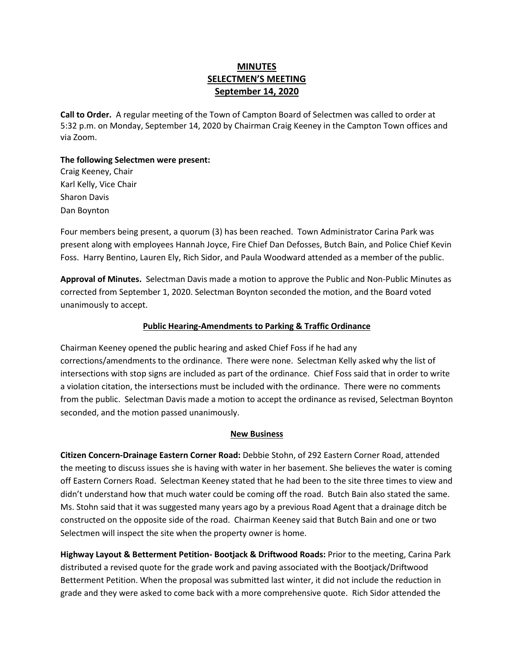# **MINUTES SELECTMEN'S MEETING September 14, 2020**

**Call to Order.** A regular meeting of the Town of Campton Board of Selectmen was called to order at 5:32 p.m. on Monday, September 14, 2020 by Chairman Craig Keeney in the Campton Town offices and via Zoom.

## **The following Selectmen were present:**

Craig Keeney, Chair Karl Kelly, Vice Chair Sharon Davis Dan Boynton

Four members being present, a quorum (3) has been reached.Town Administrator Carina Park was present along with employees Hannah Joyce, Fire Chief Dan Defosses, Butch Bain, and Police Chief Kevin Foss. Harry Bentino, Lauren Ely, Rich Sidor, and Paula Woodward attended as a member of the public.

**Approval of Minutes.** Selectman Davis made a motion to approve the Public and Non-Public Minutes as corrected from September 1, 2020. Selectman Boynton seconded the motion, and the Board voted unanimously to accept.

## **Public Hearing-Amendments to Parking & Traffic Ordinance**

Chairman Keeney opened the public hearing and asked Chief Foss if he had any corrections/amendments to the ordinance. There were none. Selectman Kelly asked why the list of intersections with stop signs are included as part of the ordinance. Chief Foss said that in order to write a violation citation, the intersections must be included with the ordinance. There were no comments from the public. Selectman Davis made a motion to accept the ordinance as revised, Selectman Boynton seconded, and the motion passed unanimously.

### **New Business**

**Citizen Concern-Drainage Eastern Corner Road:** Debbie Stohn, of 292 Eastern Corner Road, attended the meeting to discuss issues she is having with water in her basement. She believes the water is coming off Eastern Corners Road. Selectman Keeney stated that he had been to the site three times to view and didn't understand how that much water could be coming off the road. Butch Bain also stated the same. Ms. Stohn said that it was suggested many years ago by a previous Road Agent that a drainage ditch be constructed on the opposite side of the road. Chairman Keeney said that Butch Bain and one or two Selectmen will inspect the site when the property owner is home.

**Highway Layout & Betterment Petition- Bootjack & Driftwood Roads:** Prior to the meeting, Carina Park distributed a revised quote for the grade work and paving associated with the Bootjack/Driftwood Betterment Petition. When the proposal was submitted last winter, it did not include the reduction in grade and they were asked to come back with a more comprehensive quote.Rich Sidor attended the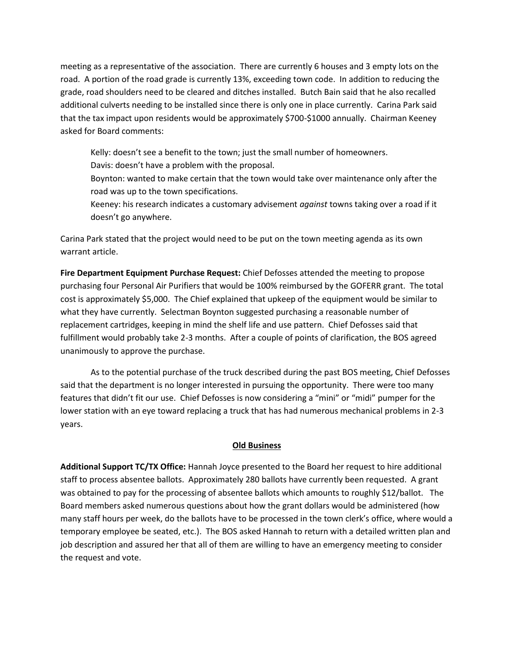meeting as a representative of the association. There are currently 6 houses and 3 empty lots on the road. A portion of the road grade is currently 13%, exceeding town code. In addition to reducing the grade, road shoulders need to be cleared and ditches installed. Butch Bain said that he also recalled additional culverts needing to be installed since there is only one in place currently. Carina Park said that the tax impact upon residents would be approximately \$700-\$1000 annually. Chairman Keeney asked for Board comments:

Kelly: doesn't see a benefit to the town; just the small number of homeowners.

Davis: doesn't have a problem with the proposal.

Boynton: wanted to make certain that the town would take over maintenance only after the road was up to the town specifications.

Keeney: his research indicates a customary advisement *against* towns taking over a road if it doesn't go anywhere.

Carina Park stated that the project would need to be put on the town meeting agenda as its own warrant article.

**Fire Department Equipment Purchase Request:** Chief Defosses attended the meeting to propose purchasing four Personal Air Purifiers that would be 100% reimbursed by the GOFERR grant. The total cost is approximately \$5,000. The Chief explained that upkeep of the equipment would be similar to what they have currently. Selectman Boynton suggested purchasing a reasonable number of replacement cartridges, keeping in mind the shelf life and use pattern. Chief Defosses said that fulfillment would probably take 2-3 months. After a couple of points of clarification, the BOS agreed unanimously to approve the purchase.

As to the potential purchase of the truck described during the past BOS meeting, Chief Defosses said that the department is no longer interested in pursuing the opportunity. There were too many features that didn't fit our use. Chief Defosses is now considering a "mini" or "midi" pumper for the lower station with an eye toward replacing a truck that has had numerous mechanical problems in 2-3 years.

### **Old Business**

**Additional Support TC/TX Office:** Hannah Joyce presented to the Board her request to hire additional staff to process absentee ballots. Approximately 280 ballots have currently been requested. A grant was obtained to pay for the processing of absentee ballots which amounts to roughly \$12/ballot. The Board members asked numerous questions about how the grant dollars would be administered (how many staff hours per week, do the ballots have to be processed in the town clerk's office, where would a temporary employee be seated, etc.). The BOS asked Hannah to return with a detailed written plan and job description and assured her that all of them are willing to have an emergency meeting to consider the request and vote.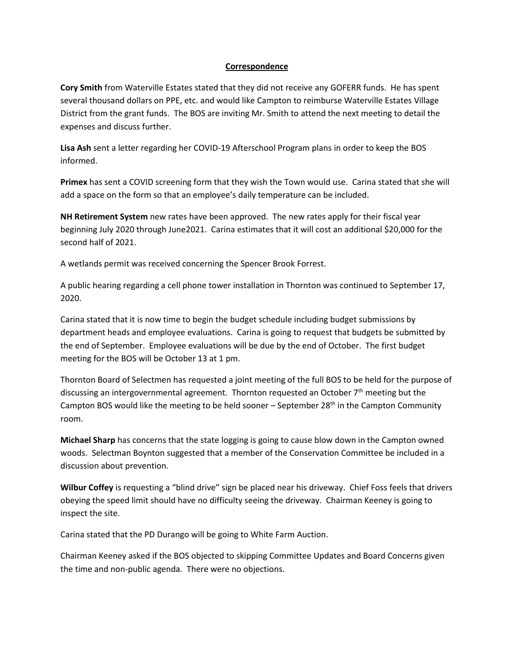#### **Correspondence**

**Cory Smith** from Waterville Estates stated that they did not receive any GOFERR funds. He has spent several thousand dollars on PPE, etc. and would like Campton to reimburse Waterville Estates Village District from the grant funds. The BOS are inviting Mr. Smith to attend the next meeting to detail the expenses and discuss further.

**Lisa Ash** sent a letter regarding her COVID-19 Afterschool Program plans in order to keep the BOS informed.

**Primex** has sent a COVID screening form that they wish the Town would use. Carina stated that she will add a space on the form so that an employee's daily temperature can be included.

**NH Retirement System** new rates have been approved. The new rates apply for their fiscal year beginning July 2020 through June2021. Carina estimates that it will cost an additional \$20,000 for the second half of 2021.

A wetlands permit was received concerning the Spencer Brook Forrest.

A public hearing regarding a cell phone tower installation in Thornton was continued to September 17, 2020.

Carina stated that it is now time to begin the budget schedule including budget submissions by department heads and employee evaluations. Carina is going to request that budgets be submitted by the end of September. Employee evaluations will be due by the end of October. The first budget meeting for the BOS will be October 13 at 1 pm.

Thornton Board of Selectmen has requested a joint meeting of the full BOS to be held for the purpose of discussing an intergovernmental agreement. Thornton requested an October 7<sup>th</sup> meeting but the Campton BOS would like the meeting to be held sooner - September 28<sup>th</sup> in the Campton Community room.

**Michael Sharp** has concerns that the state logging is going to cause blow down in the Campton owned woods. Selectman Boynton suggested that a member of the Conservation Committee be included in a discussion about prevention.

**Wilbur Coffey** is requesting a "blind drive" sign be placed near his driveway. Chief Foss feels that drivers obeying the speed limit should have no difficulty seeing the driveway. Chairman Keeney is going to inspect the site.

Carina stated that the PD Durango will be going to White Farm Auction.

Chairman Keeney asked if the BOS objected to skipping Committee Updates and Board Concerns given the time and non-public agenda. There were no objections.